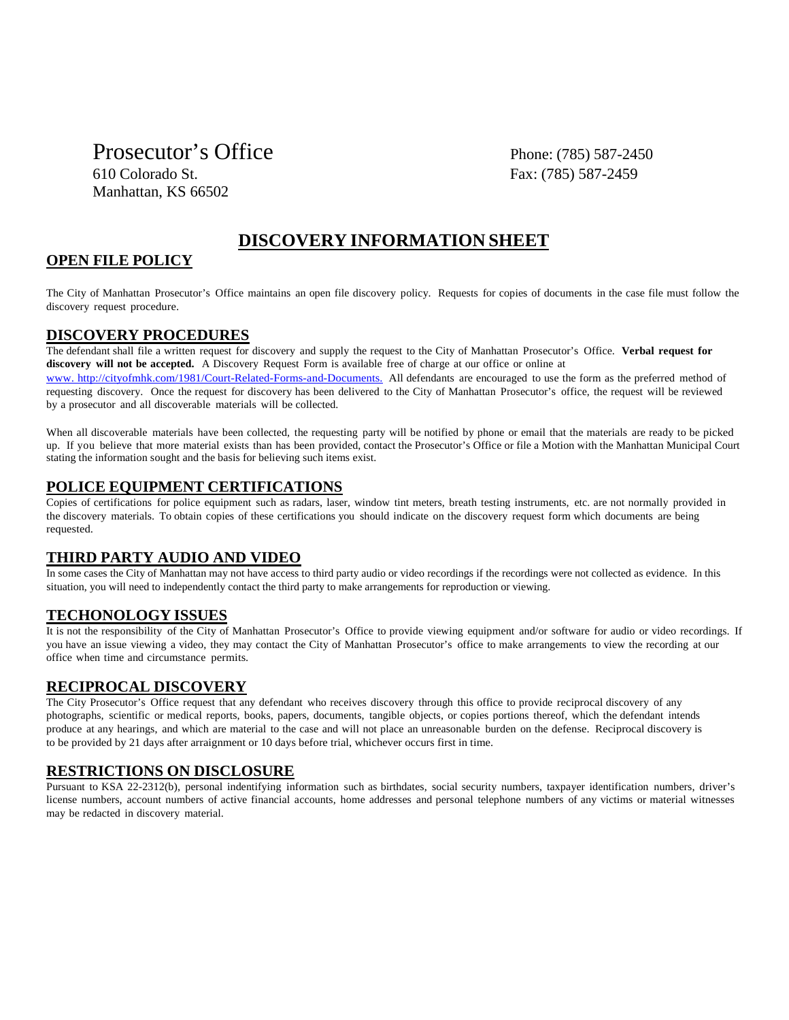Prosecutor's Office Phone: (785) 587-2450 610 Colorado St. Fax: (785) 587-2459 Manhattan, KS 66502

## **DISCOVERY INFORMATION SHEET**

### **OPEN FILE POLICY**

The City of Manhattan Prosecutor's Office maintains an open file discovery policy. Requests for copies of documents in the case file must follow the discovery request procedure.

#### **DISCOVERY PROCEDURES**

The defendant shall file a written request for discovery and supply the request to the City of Manhattan Prosecutor's Office. **Verbal request for discovery will not be accepted.** A Discovery Request Form is available free of charge at our office or online at www. http://cityofmhk.com/1981/Court-Related-Forms-and-Documents. All defendants are encouraged to use the form as the preferred method of requesting discovery. Once the request for discovery has been delivered to the City of Manhattan Prosecutor's office, the request will be reviewed by a prosecutor and all discoverable materials will be collected.

When all discoverable materials have been collected, the requesting party will be notified by phone or email that the materials are ready to be picked up. If you believe that more material exists than has been provided, contact the Prosecutor's Office or file a Motion with the Manhattan Municipal Court stating the information sought and the basis for believing such items exist.

#### **POLICE EQUIPMENT CERTIFICATIONS**

Copies of certifications for police equipment such as radars, laser, window tint meters, breath testing instruments, etc. are not normally provided in the discovery materials. To obtain copies of these certifications you should indicate on the discovery request form which documents are being requested.

#### **THIRD PARTY AUDIO AND VIDEO**

In some cases the City of Manhattan may not have access to third party audio or video recordings if the recordings were not collected as evidence. In this situation, you will need to independently contact the third party to make arrangements for reproduction or viewing.

#### **TECHONOLOGY ISSUES**

It is not the responsibility of the City of Manhattan Prosecutor's Office to provide viewing equipment and/or software for audio or video recordings. If you have an issue viewing a video, they may contact the City of Manhattan Prosecutor's office to make arrangements to view the recording at our office when time and circumstance permits.

#### **RECIPROCAL DISCOVERY**

The City Prosecutor's Office request that any defendant who receives discovery through this office to provide reciprocal discovery of any photographs, scientific or medical reports, books, papers, documents, tangible objects, or copies portions thereof, which the defendant intends produce at any hearings, and which are material to the case and will not place an unreasonable burden on the defense. Reciprocal discovery is to be provided by 21 days after arraignment or 10 days before trial, whichever occurs first in time.

#### **RESTRICTIONS ON DISCLOSURE**

Pursuant to KSA 22-2312(b), personal indentifying information such as birthdates, social security numbers, taxpayer identification numbers, driver's license numbers, account numbers of active financial accounts, home addresses and personal telephone numbers of any victims or material witnesses may be redacted in discovery material.